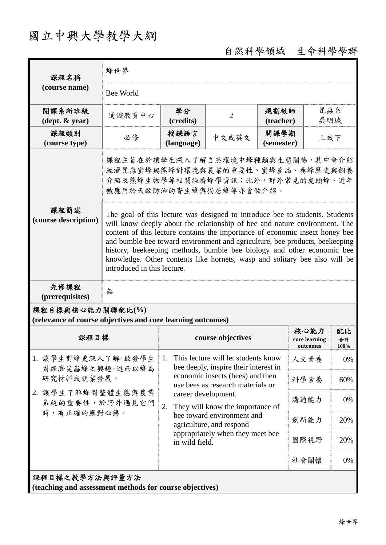# 國立中興大學教學大綱

## 自然科學領域-生命科學學群

| 課程名稱                                                                                                                                                                                                                                                                                                                                                                                                                                                                                                                                             | 蜂世界                                                                                                                                 |                                                                                            |                                  |                    |                                   |                  |  |
|--------------------------------------------------------------------------------------------------------------------------------------------------------------------------------------------------------------------------------------------------------------------------------------------------------------------------------------------------------------------------------------------------------------------------------------------------------------------------------------------------------------------------------------------------|-------------------------------------------------------------------------------------------------------------------------------------|--------------------------------------------------------------------------------------------|----------------------------------|--------------------|-----------------------------------|------------------|--|
| (course name)                                                                                                                                                                                                                                                                                                                                                                                                                                                                                                                                    | Bee World                                                                                                                           |                                                                                            |                                  |                    |                                   |                  |  |
| 開課系所班級<br>$(\text{dept.} \& \text{ year})$                                                                                                                                                                                                                                                                                                                                                                                                                                                                                                       | 通識教育中心                                                                                                                              | 學分<br>(credits)                                                                            | $\overline{2}$                   | 規劃教師<br>(teacher)  | 昆蟲系<br>吳明城                        |                  |  |
| 課程類別<br>(course type)                                                                                                                                                                                                                                                                                                                                                                                                                                                                                                                            | 必修                                                                                                                                  | 授課語言<br>(language)                                                                         | 中文或英文                            | 開課學期<br>(semester) | 上或下                               |                  |  |
|                                                                                                                                                                                                                                                                                                                                                                                                                                                                                                                                                  | 課程主旨在於讓學生深入了解自然環境中蜂種類與生態關係,其中會介紹<br>經濟昆蟲蜜蜂與熊蜂對環境與農業的重要性、蜜蜂產品、養蜂歷史與飼養<br>介紹及熊蜂生物學等相關經濟蜂學資訊;此外,野外常見的虎頭蜂、近年<br>被應用於天敵防治的寄生蜂與獨居蜂等亦會做介紹。 |                                                                                            |                                  |                    |                                   |                  |  |
| 課程簡述<br>The goal of this lecture was designed to introduce bee to students. Students<br>(course description)<br>will know deeply about the relationship of bee and nature environment. The<br>content of this lecture contains the importance of economic insect honey bee<br>and bumble bee toward environment and agriculture, bee products, beekeeping<br>history, beekeeping methods, bumble bee biology and other economic bee<br>knowledge. Other contents like hornets, wasp and solitary bee also will be<br>introduced in this lecture. |                                                                                                                                     |                                                                                            |                                  |                    |                                   |                  |  |
| 先修課程<br>(prerequisites)                                                                                                                                                                                                                                                                                                                                                                                                                                                                                                                          | 無                                                                                                                                   |                                                                                            |                                  |                    |                                   |                  |  |
| 課程目標與核心能力關聯配比(%)<br>(relevance of course objectives and core learning outcomes)                                                                                                                                                                                                                                                                                                                                                                                                                                                                  |                                                                                                                                     |                                                                                            |                                  |                    |                                   |                  |  |
| 課程目標                                                                                                                                                                                                                                                                                                                                                                                                                                                                                                                                             |                                                                                                                                     | course objectives                                                                          |                                  |                    | 核心能力<br>core learning<br>outcomes | 配比<br>合計<br>100% |  |
| 1. 讓學生對蜂更深入了解,啟發學生<br>對經濟昆蟲蜂之興趣,進而以蜂為<br>研究材料或就業發展。<br>2. 讓學生了解蜂對整體生態與農業<br>系統的重要性,於野外遇見它們<br>時,有正確的應對心態。                                                                                                                                                                                                                                                                                                                                                                                                                                        |                                                                                                                                     | This lecture will let students know<br>1.<br>bee deeply, inspire their interest in         |                                  |                    | 人文素養                              | 0%               |  |
|                                                                                                                                                                                                                                                                                                                                                                                                                                                                                                                                                  |                                                                                                                                     | economic insects (bees) and then<br>use bees as research materials or                      |                                  |                    | 科學素養                              | 60%              |  |
|                                                                                                                                                                                                                                                                                                                                                                                                                                                                                                                                                  |                                                                                                                                     | career development.<br>2.                                                                  |                                  |                    | 溝通能力                              | 0%               |  |
|                                                                                                                                                                                                                                                                                                                                                                                                                                                                                                                                                  |                                                                                                                                     | They will know the importance of<br>bee toward environment and<br>agriculture, and respond |                                  |                    | 創新能力                              | 20%              |  |
|                                                                                                                                                                                                                                                                                                                                                                                                                                                                                                                                                  |                                                                                                                                     | in wild field.                                                                             | appropriately when they meet bee |                    | 國際視野                              | 20%              |  |
|                                                                                                                                                                                                                                                                                                                                                                                                                                                                                                                                                  |                                                                                                                                     |                                                                                            |                                  |                    | 社會關懷                              | 0%               |  |
| 課程目標之教學方法與評量方法<br>(teaching and assessment methods for course objectives)                                                                                                                                                                                                                                                                                                                                                                                                                                                                        |                                                                                                                                     |                                                                                            |                                  |                    |                                   |                  |  |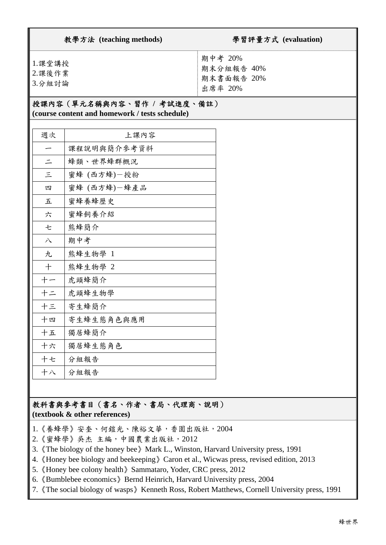| 教學方法 (teaching methods)    | 學習評量方式 (evaluation)                            |  |  |  |
|----------------------------|------------------------------------------------|--|--|--|
| 1.課堂講授<br>2.課後作業<br>3.分組討論 | 期中考 20%<br>期末分組報告 40%<br>期末書面報告 20%<br>出席率 20% |  |  |  |
| 授課內容(單元名稱與內容、習作 / 考試進度、備註) |                                                |  |  |  |

### **(course content and homework / tests schedule)**

| 週次       | 上課內容         |
|----------|--------------|
|          | 课程说明舆简介参考资料  |
| $\equiv$ | 蜂類、世界蜂群概況    |
| $\equiv$ | 蜜蜂 (西方蜂)一授粉  |
| 四        | 蜜蜂 (西方蜂)-蜂產品 |
| 五        | 蜜蜂養蜂歷史       |
| 六        | 蜜蜂飼養介紹       |
| 七        | 熊蜂簡介         |
| 八        | 期中考          |
| 九        | 熊蜂生物學 1      |
| 十        | 熊蜂生物學 2      |
| 十一       | 虎頭蜂簡介        |
| 十二       | 虎頭蜂生物學       |
| 十三       | 寄生蜂簡介        |
| 十四       | 寄生蜂生態角色與應用   |
| 十五       | 獨居蜂簡介        |
| 十六       | 獨居蜂生態角色      |
| 十七       | 分組報告         |
| 十八       | 分組報告         |

#### 教科書與參考書目(書名、作者、書局、代理商、說明) **(textbook & other references)**

- 1.《養蜂學》安奎、何鎧光、陳裕文華,香園出版社,2004
- 2.《蜜蜂學》吳杰 主編,中國農業出版社,2012
- 3.《The biology of the honey bee》Mark L., Winston, Harvard University press, 1991
- 4.《Honey bee biology and beekeeping》Caron et al., Wicwas press, revised edition, 2013
- 5.《Honey bee colony health》Sammataro, Yoder, CRC press, 2012
- 6.《Bumblebee economics》Bernd Heinrich, Harvard University press, 2004
- 7.《The social biology of wasps》Kenneth Ross, Robert Matthews, Cornell University press, 1991